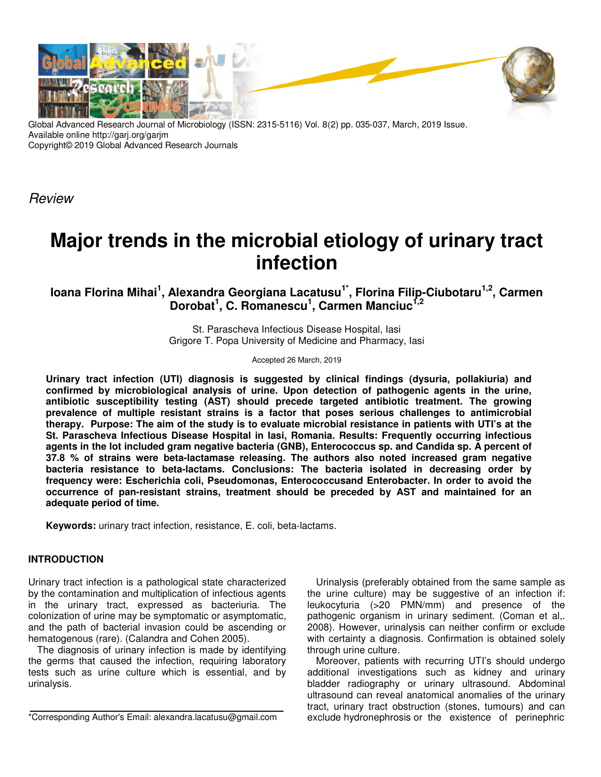

Global Advanced Research Journal of Microbiology (ISSN: 2315-5116) Vol. 8(2) pp. 035-037, March, 2019 Issue. Available online http://garj.org/garjm Copyright© 2019 Global Advanced Research Journals

Review

# **Major trends in the microbial etiology of urinary tract infection**

**Ioana Florina Mihai<sup>1</sup> , Alexandra Georgiana Lacatusu1\*, Florina Filip-Ciubotaru1,2, Carmen**  Dorobat<sup>1</sup>, C. Romanescu<sup>1</sup>, Carmen Manciuc<sup>1,2</sup>

> St. Parascheva Infectious Disease Hospital, Iasi Grigore T. Popa University of Medicine and Pharmacy, Iasi

> > Accepted 26 March, 2019

**Urinary tract infection (UTI) diagnosis is suggested by clinical findings (dysuria, pollakiuria) and confirmed by microbiological analysis of urine. Upon detection of pathogenic agents in the urine, antibiotic susceptibility testing (AST) should precede targeted antibiotic treatment. The growing prevalence of multiple resistant strains is a factor that poses serious challenges to antimicrobial therapy. Purpose: The aim of the study is to evaluate microbial resistance in patients with UTI's at the St. Parascheva Infectious Disease Hospital in Iasi, Romania. Results: Frequently occurring infectious agents in the lot included gram negative bacteria (GNB), Enterococcus sp. and Candida sp. A percent of 37.8 % of strains were beta-lactamase releasing. The authors also noted increased gram negative bacteria resistance to beta-lactams. Conclusions: The bacteria isolated in decreasing order by frequency were: Escherichia coli, Pseudomonas, Enterococcusand Enterobacter. In order to avoid the occurrence of pan-resistant strains, treatment should be preceded by AST and maintained for an adequate period of time.** 

**Keywords:** urinary tract infection, resistance, E. coli, beta-lactams.

#### **INTRODUCTION**

Urinary tract infection is a pathological state characterized by the contamination and multiplication of infectious agents in the urinary tract, expressed as bacteriuria. The colonization of urine may be symptomatic or asymptomatic, and the path of bacterial invasion could be ascending or hematogenous (rare). (Calandra and Cohen 2005).

The diagnosis of urinary infection is made by identifying the germs that caused the infection, requiring laboratory tests such as urine culture which is essential, and by urinalysis.

Urinalysis (preferably obtained from the same sample as the urine culture) may be suggestive of an infection if: leukocyturia (>20 PMN/mm) and presence of the pathogenic organism in urinary sediment. (Coman et al,. 2008). However, urinalysis can neither confirm or exclude with certainty a diagnosis. Confirmation is obtained solely through urine culture.

Moreover, patients with recurring UTI's should undergo additional investigations such as kidney and urinary bladder radiography or urinary ultrasound. Abdominal ultrasound can reveal anatomical anomalies of the urinary tract, urinary tract obstruction (stones, tumours) and can exclude hydronephrosis or the existence of perinephric

<sup>\*</sup>Corresponding Author's Email: alexandra.lacatusu@gmail.com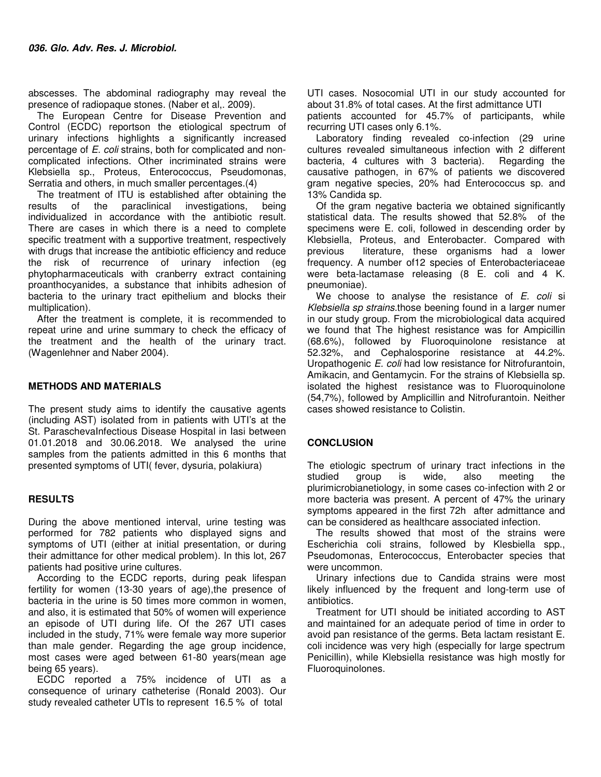abscesses. The abdominal radiography may reveal the presence of radiopaque stones. (Naber et al,. 2009).

The European Centre for Disease Prevention and Control (ECDC) reportson the etiological spectrum of urinary infections highlights a significantly increased percentage of E. coli strains, both for complicated and noncomplicated infections. Other incriminated strains were Klebsiella sp., Proteus, Enterococcus, Pseudomonas, Serratia and others, in much smaller percentages.(4)

The treatment of ITU is established after obtaining the results of the paraclinical investigations, being individualized in accordance with the antibiotic result. There are cases in which there is a need to complete specific treatment with a supportive treatment, respectively with drugs that increase the antibiotic efficiency and reduce the risk of recurrence of urinary infection (eg phytopharmaceuticals with cranberry extract containing proanthocyanides, a substance that inhibits adhesion of bacteria to the urinary tract epithelium and blocks their multiplication).

After the treatment is complete, it is recommended to repeat urine and urine summary to check the efficacy of the treatment and the health of the urinary tract. (Wagenlehner and Naber 2004).

### **METHODS AND MATERIALS**

The present study aims to identify the causative agents (including AST) isolated from in patients with UTI's at the St. ParaschevaInfectious Disease Hospital in Iasi between 01.01.2018 and 30.06.2018. We analysed the urine samples from the patients admitted in this 6 months that presented symptoms of UTI( fever, dysuria, polakiura)

#### **RESULTS**

During the above mentioned interval, urine testing was performed for 782 patients who displayed signs and symptoms of UTI (either at initial presentation, or during their admittance for other medical problem). In this lot, 267 patients had positive urine cultures.

According to the ECDC reports, during peak lifespan fertility for women (13-30 years of age), the presence of bacteria in the urine is 50 times more common in women, and also, it is estimated that 50% of women will experience an episode of UTI during life. Of the 267 UTI cases included in the study, 71% were female way more superior than male gender. Regarding the age group incidence, most cases were aged between 61-80 years(mean age being 65 years).

ECDC reported a 75% incidence of UTI as a consequence of urinary catheterise (Ronald 2003). Our study revealed catheter UTIs to represent 16.5 % of total

UTI cases. Nosocomial UTI in our study accounted for about 31.8% of total cases. At the first admittance UTI

patients accounted for 45.7% of participants, while recurring UTI cases only 6.1%.

Laboratory finding revealed co-infection (29 urine cultures revealed simultaneous infection with 2 different bacteria, 4 cultures with 3 bacteria). Regarding the causative pathogen, in 67% of patients we discovered gram negative species, 20% had Enterococcus sp. and 13% Candida sp.

Of the gram negative bacteria we obtained significantly statistical data. The results showed that 52.8% of the specimens were E. coli, followed in descending order by Klebsiella, Proteus, and Enterobacter. Compared with previous literature, these organisms had a lower frequency. A number of12 species of Enterobacteriaceae were beta-lactamase releasing (8 E. coli and 4 K. pneumoniae).

We choose to analyse the resistance of  $E$ . coli si Klebsiella sp strains.those beening found in a larger numer in our study group. From the microbiological data acquired we found that The highest resistance was for Ampicillin (68.6%), followed by Fluoroquinolone resistance at 52.32%, and Cephalosporine resistance at 44.2%. Uropathogenic E. coli had low resistance for Nitrofurantoin, Amikacin, and Gentamycin. For the strains of Klebsiella sp. isolated the highest resistance was to Fluoroquinolone (54,7%), followed by Amplicillin and Nitrofurantoin. Neither cases showed resistance to Colistin.

## **CONCLUSION**

The etiologic spectrum of urinary tract infections in the studied group is wide, also meeting the plurimicrobianetiology, in some cases co-infection with 2 or more bacteria was present. A percent of 47% the urinary symptoms appeared in the first 72h after admittance and can be considered as healthcare associated infection.

The results showed that most of the strains were Escherichia coli strains, followed by Klesbiella spp., Pseudomonas, Enterococcus, Enterobacter species that were uncommon.

Urinary infections due to Candida strains were most likely influenced by the frequent and long-term use of antibiotics.

Treatment for UTI should be initiated according to AST and maintained for an adequate period of time in order to avoid pan resistance of the germs. Beta lactam resistant E. coli incidence was very high (especially for large spectrum Penicillin), while Klebsiella resistance was high mostly for Fluoroquinolones.